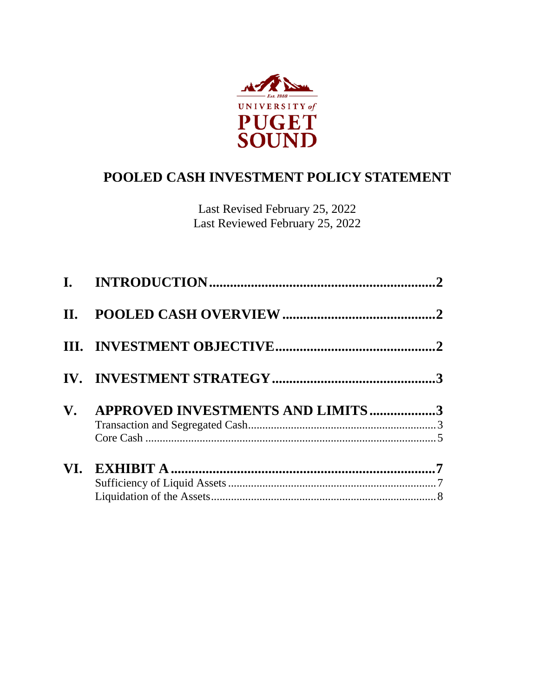

# **POOLED CASH INVESTMENT POLICY STATEMENT**

Last Revised February 25, 2022 Last Reviewed February 25, 2022

| $\mathbf{V}_{\bullet}$ | APPROVED INVESTMENTS AND LIMITS3 |  |
|------------------------|----------------------------------|--|
|                        |                                  |  |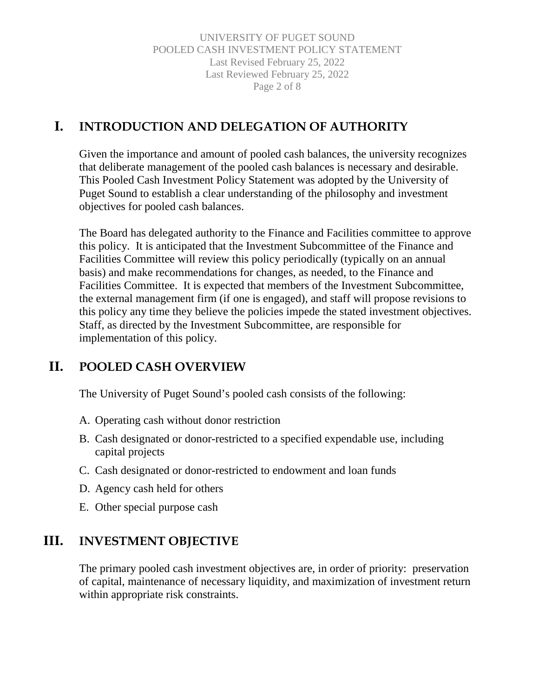UNIVERSITY OF PUGET SOUND POOLED CASH INVESTMENT POLICY STATEMENT Last Revised February 25, 2022 Last Reviewed February 25, 2022 Page 2 of 8

## <span id="page-1-0"></span>**I. INTRODUCTION AND DELEGATION OF AUTHORITY**

Given the importance and amount of pooled cash balances, the university recognizes that deliberate management of the pooled cash balances is necessary and desirable. This Pooled Cash Investment Policy Statement was adopted by the University of Puget Sound to establish a clear understanding of the philosophy and investment objectives for pooled cash balances.

The Board has delegated authority to the Finance and Facilities committee to approve this policy. It is anticipated that the Investment Subcommittee of the Finance and Facilities Committee will review this policy periodically (typically on an annual basis) and make recommendations for changes, as needed, to the Finance and Facilities Committee. It is expected that members of the Investment Subcommittee, the external management firm (if one is engaged), and staff will propose revisions to this policy any time they believe the policies impede the stated investment objectives. Staff, as directed by the Investment Subcommittee, are responsible for implementation of this policy.

## <span id="page-1-1"></span>**II. POOLED CASH OVERVIEW**

The University of Puget Sound's pooled cash consists of the following:

- A. Operating cash without donor restriction
- B. Cash designated or donor-restricted to a specified expendable use, including capital projects
- C. Cash designated or donor-restricted to endowment and loan funds
- D. Agency cash held for others
- E. Other special purpose cash

## <span id="page-1-2"></span>**III. INVESTMENT OBJECTIVE**

The primary pooled cash investment objectives are, in order of priority: preservation of capital, maintenance of necessary liquidity, and maximization of investment return within appropriate risk constraints.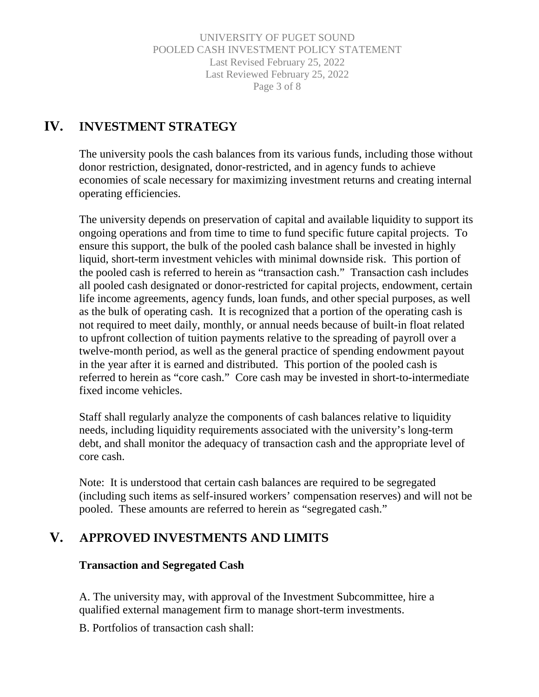UNIVERSITY OF PUGET SOUND POOLED CASH INVESTMENT POLICY STATEMENT Last Revised February 25, 2022 Last Reviewed February 25, 2022 Page 3 of 8

## <span id="page-2-0"></span>**IV. INVESTMENT STRATEGY**

The university pools the cash balances from its various funds, including those without donor restriction, designated, donor-restricted, and in agency funds to achieve economies of scale necessary for maximizing investment returns and creating internal operating efficiencies.

The university depends on preservation of capital and available liquidity to support its ongoing operations and from time to time to fund specific future capital projects. To ensure this support, the bulk of the pooled cash balance shall be invested in highly liquid, short-term investment vehicles with minimal downside risk. This portion of the pooled cash is referred to herein as "transaction cash." Transaction cash includes all pooled cash designated or donor-restricted for capital projects, endowment, certain life income agreements, agency funds, loan funds, and other special purposes, as well as the bulk of operating cash. It is recognized that a portion of the operating cash is not required to meet daily, monthly, or annual needs because of built-in float related to upfront collection of tuition payments relative to the spreading of payroll over a twelve-month period, as well as the general practice of spending endowment payout in the year after it is earned and distributed. This portion of the pooled cash is referred to herein as "core cash." Core cash may be invested in short-to-intermediate fixed income vehicles.

Staff shall regularly analyze the components of cash balances relative to liquidity needs, including liquidity requirements associated with the university's long-term debt, and shall monitor the adequacy of transaction cash and the appropriate level of core cash.

Note: It is understood that certain cash balances are required to be segregated (including such items as self-insured workers' compensation reserves) and will not be pooled. These amounts are referred to herein as "segregated cash."

## <span id="page-2-1"></span>**V. APPROVED INVESTMENTS AND LIMITS**

### <span id="page-2-2"></span>**Transaction and Segregated Cash**

A. The university may, with approval of the Investment Subcommittee, hire a qualified external management firm to manage short-term investments.

B. Portfolios of transaction cash shall: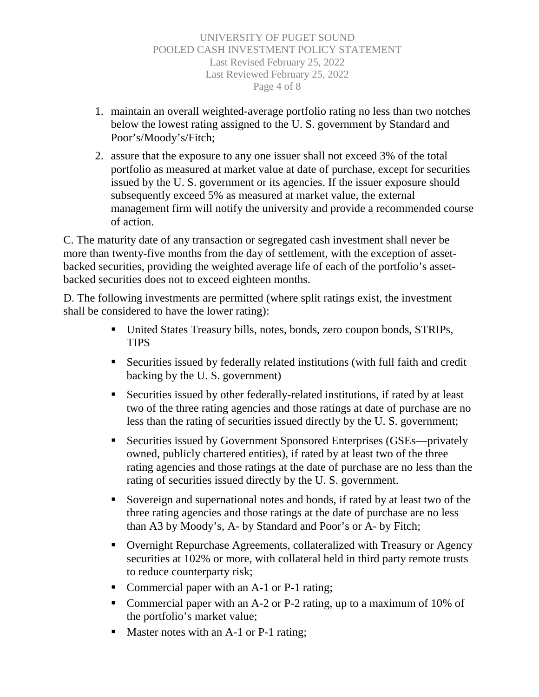- 1. maintain an overall weighted-average portfolio rating no less than two notches below the lowest rating assigned to the U. S. government by Standard and Poor's/Moody's/Fitch;
- 2. assure that the exposure to any one issuer shall not exceed 3% of the total portfolio as measured at market value at date of purchase, except for securities issued by the U. S. government or its agencies. If the issuer exposure should subsequently exceed 5% as measured at market value, the external management firm will notify the university and provide a recommended course of action.

C. The maturity date of any transaction or segregated cash investment shall never be more than twenty-five months from the day of settlement, with the exception of assetbacked securities, providing the weighted average life of each of the portfolio's assetbacked securities does not to exceed eighteen months.

D. The following investments are permitted (where split ratings exist, the investment shall be considered to have the lower rating):

- United States Treasury bills, notes, bonds, zero coupon bonds, STRIPs, TIPS
- Securities issued by federally related institutions (with full faith and credit backing by the U. S. government)
- Securities issued by other federally-related institutions, if rated by at least two of the three rating agencies and those ratings at date of purchase are no less than the rating of securities issued directly by the U. S. government;
- Securities issued by Government Sponsored Enterprises (GSEs—privately owned, publicly chartered entities), if rated by at least two of the three rating agencies and those ratings at the date of purchase are no less than the rating of securities issued directly by the U. S. government.
- Sovereign and supernational notes and bonds, if rated by at least two of the three rating agencies and those ratings at the date of purchase are no less than A3 by Moody's, A- by Standard and Poor's or A- by Fitch;
- Overnight Repurchase Agreements, collateralized with Treasury or Agency securities at 102% or more, with collateral held in third party remote trusts to reduce counterparty risk;
- Commercial paper with an A-1 or P-1 rating;
- Commercial paper with an A-2 or P-2 rating, up to a maximum of 10% of the portfolio's market value;
- Master notes with an A-1 or P-1 rating;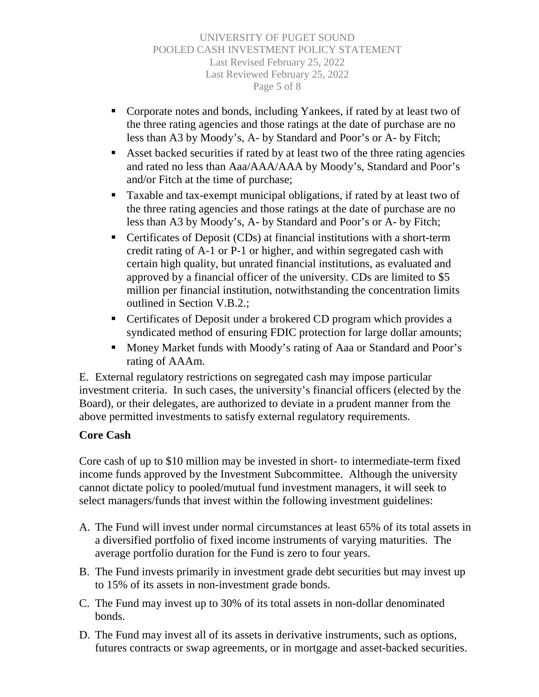UNIVERSITY OF PUGET SOUND POOLED CASH INVESTMENT POLICY STATEMENT Last Revised February 25, 2022 Last Reviewed February 25, 2022 Page 5 of 8

- Corporate notes and bonds, including Yankees, if rated by at least two of the three rating agencies and those ratings at the date of purchase are no less than A3 by Moody's, A- by Standard and Poor's or A- by Fitch;
- Asset backed securities if rated by at least two of the three rating agencies and rated no less than Aaa/AAA/AAA by Moody's, Standard and Poor's and/or Fitch at the time of purchase;
- Taxable and tax-exempt municipal obligations, if rated by at least two of the three rating agencies and those ratings at the date of purchase are no less than A3 by Moody's, A- by Standard and Poor's or A- by Fitch;
- Certificates of Deposit (CDs) at financial institutions with a short-term credit rating of A-1 or P-1 or higher, and within segregated cash with certain high quality, but unrated financial institutions, as evaluated and approved by a financial officer of the university. CDs are limited to \$5 million per financial institution, notwithstanding the concentration limits outlined in Section V.B.2.;
- Certificates of Deposit under a brokered CD program which provides a syndicated method of ensuring FDIC protection for large dollar amounts;
- Money Market funds with Moody's rating of Aaa or Standard and Poor's rating of AAAm.

E. External regulatory restrictions on segregated cash may impose particular investment criteria. In such cases, the university's financial officers (elected by the Board), or their delegates, are authorized to deviate in a prudent manner from the above permitted investments to satisfy external regulatory requirements.

### <span id="page-4-0"></span>**Core Cash**

Core cash of up to \$10 million may be invested in short- to intermediate-term fixed income funds approved by the Investment Subcommittee. Although the university cannot dictate policy to pooled/mutual fund investment managers, it will seek to select managers/funds that invest within the following investment guidelines:

- A. The Fund will invest under normal circumstances at least 65% of its total assets in a diversified portfolio of fixed income instruments of varying maturities. The average portfolio duration for the Fund is zero to four years.
- B. The Fund invests primarily in investment grade debt securities but may invest up to 15% of its assets in non-investment grade bonds.
- C. The Fund may invest up to 30% of its total assets in non-dollar denominated bonds.
- D. The Fund may invest all of its assets in derivative instruments, such as options, futures contracts or swap agreements, or in mortgage and asset-backed securities.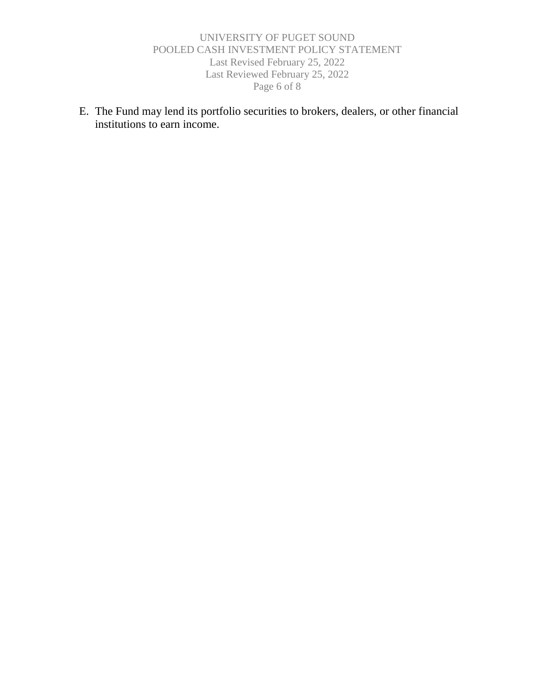#### UNIVERSITY OF PUGET SOUND POOLED CASH INVESTMENT POLICY STATEMENT Last Revised February 25, 2022 Last Reviewed February 25, 2022 Page 6 of 8

E. The Fund may lend its portfolio securities to brokers, dealers, or other financial institutions to earn income.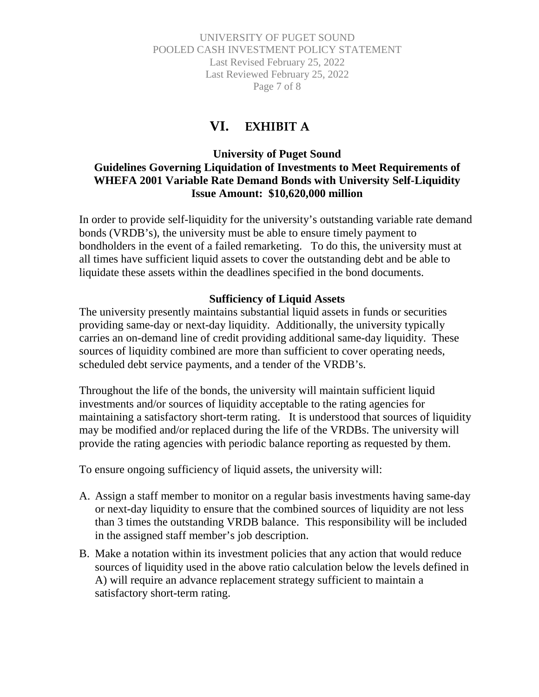UNIVERSITY OF PUGET SOUND POOLED CASH INVESTMENT POLICY STATEMENT Last Revised February 25, 2022 Last Reviewed February 25, 2022 Page 7 of 8

### **VI. EXHIBIT A**

### <span id="page-6-0"></span>**University of Puget Sound Guidelines Governing Liquidation of Investments to Meet Requirements of WHEFA 2001 Variable Rate Demand Bonds with University Self-Liquidity Issue Amount: \$10,620,000 million**

In order to provide self-liquidity for the university's outstanding variable rate demand bonds (VRDB's), the university must be able to ensure timely payment to bondholders in the event of a failed remarketing. To do this, the university must at all times have sufficient liquid assets to cover the outstanding debt and be able to liquidate these assets within the deadlines specified in the bond documents.

#### **Sufficiency of Liquid Assets**

<span id="page-6-1"></span>The university presently maintains substantial liquid assets in funds or securities providing same-day or next-day liquidity. Additionally, the university typically carries an on-demand line of credit providing additional same-day liquidity. These sources of liquidity combined are more than sufficient to cover operating needs, scheduled debt service payments, and a tender of the VRDB's.

Throughout the life of the bonds, the university will maintain sufficient liquid investments and/or sources of liquidity acceptable to the rating agencies for maintaining a satisfactory short-term rating. It is understood that sources of liquidity may be modified and/or replaced during the life of the VRDBs. The university will provide the rating agencies with periodic balance reporting as requested by them.

To ensure ongoing sufficiency of liquid assets, the university will:

- A. Assign a staff member to monitor on a regular basis investments having same-day or next-day liquidity to ensure that the combined sources of liquidity are not less than 3 times the outstanding VRDB balance. This responsibility will be included in the assigned staff member's job description.
- <span id="page-6-2"></span>B. Make a notation within its investment policies that any action that would reduce sources of liquidity used in the above ratio calculation below the levels defined in A) will require an advance replacement strategy sufficient to maintain a satisfactory short-term rating.